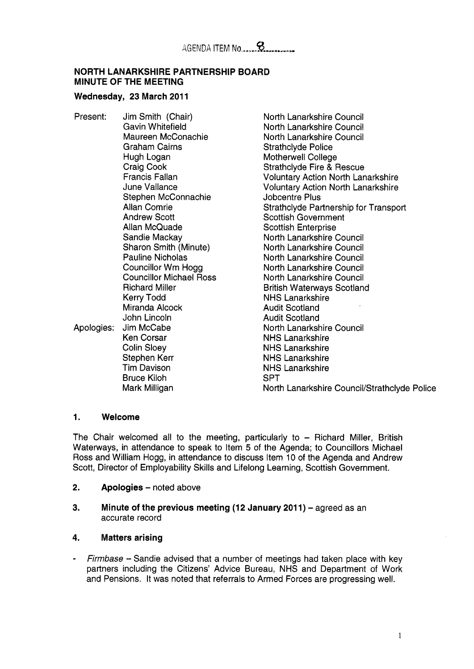#### **NORTH LANARKSHIRE PARTNERSHIP BOARD MINUTE OF THE MEETING**

#### Wednesday, 23 March 2011

Present: Jim Smith (Chair) Gavin Whitefield Maureen McConachie Graham Cairns Hugh Logan Craig Cook Francis Fallan June Vallance Stephen McConnachie Allan Comrie Andrew Scott Allan McQuade Sandie Mackay Sharon Smith (Minute) Pauline Nicholas Councillor Wm Hogg Councillor Michael Ross Richard Miller Kerry Todd Miranda Alcock John Lincoln Apologies: Jim McCabe Ken Corsar Colin Sloey Stephen Kerr Tim Davison Bruce Kiloh Mark Milligan

North Lanarkshire Council North Lanarkshire Council North Lanarkshire Council Strathclyde Police Motherwell College Strathclyde Fire & Rescue Voluntary Action North Lanarkshire Voluntary Action North Lanarkshire Jobcentre Plus Strathclyde Partnership for Transport Scottish Government Scottish Enterprise North Lanarkshire Council North Lanarkshire Council North Lanarkshire Council North Lanarkshire Council North Lanarkshire Council British Waterways Scotland NHS Lanarkshire Audit Scotland Audit Scotland North Lanarkshire Council NHS Lanarkshire NHS Lanarkshire NHS Lanarkshire NHS Lanarkshire SPT North Lanarkshire Council/Strathclyde Police

#### **1. Welcome**

The Chair welcomed all to the meeting, particularly to  $-$  Richard Miller, British Waterways, in attendance to speak to Item **5** of the Agenda; to Councillors Michael Ross and William Hogg, in attendance to discuss Item 10 of the Agenda and Andrew Scott, Director of Employability Skills and Lifelong Learning, Scottish Government.

- **2.** Apologies noted above
- **3. Minute of the previous meeting (12 January 2011)** agreed as an accurate record

#### **4. Matters arising**

- *Firmbase* - Sandie advised that a number of meetings had taken place with key partners including the Citizens' Advice Bureau, NHS and Department of Work and Pensions. It was noted that referrals to Armed Forces are progressing well.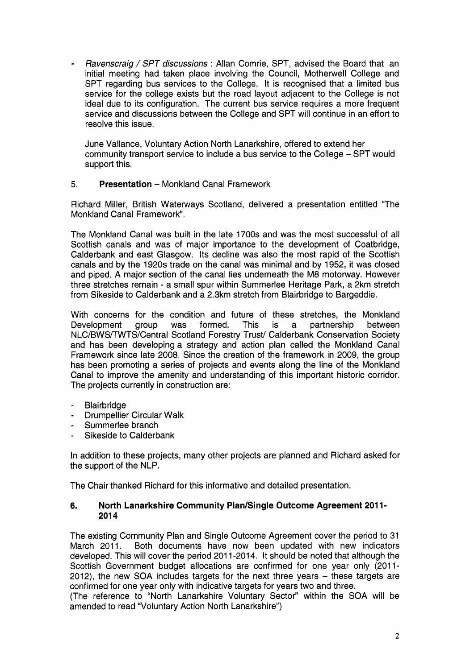- *Ravenscraig* / *SPT discussions* : Allan Comrie, SPT, advised the Board that an initial meeting had taken place involving the Council, Motherwell College and SPT regarding bus services to the College. It is recognised that a limited bus service for the college exists but the road layout adiacent to the College is not ideal due to its configuration. The current bus service requires a more frequent service and discussions between the College and SPT will continue in an effort to resolve this issue.

June Valance, Voluntary Action North Lanarkshire, offered to extend her community transport service to include a bus service to the College - SPT would support this.

### 5. **Presentation** - Monkland Canal Framework

Richard Miller, British Waterways Scotland, delivered a presentation entitled "The Monkland Canal Framework".

The Monkland Canal was built in the late 1700s and was the most successful of all Scottish canals and was of major importance to the development of Coatbridge, Calderbank and east Glasgow. Its decline was also the most rapid of the Scottish canals and by the 1920s trade on the canal was minimal and by 1952, it was closed and piped. A major section of the canal lies underneath the M8 motorway. However three stretches remain - a small spur within Summerlee Heritage Park, a 2km stretch from Sikeside to Calderbank and a 2.3km stretch from Blairbridge to Bargeddie.

With concerns for the condition and future of these stretches, the Monkland Development group was formed. This is a partnership between NLC/BWS/TWTS/Central Scotland Forestry Trust/ Calderbank Conservation Society and has been developing a strategy and action plan called the Monkland Canal Framework since late 2008. Since the creation of the framework in 2009, the group has been promoting a series of projects and events along the line of the Monkland Canal to improve the amenity and understanding of this important historic corridor. The projects currently in construction are:

- **Blairbridge**
- Drumpellier Circular Walk
- Summerlee branch
- Sikeside to Calderbank

In addition to these projects, many other projects are planned and Richard asked for the support of the NLP.

The Chair thanked Richard for this informative and detailed presentation.

#### **6. North Lanarkshire Community Plan/Single Outcome Agreement 201 1- 201 4**

The existing Community Plan and Single Outcome Agreement cover the period to 31 March 2011. Both documents have now been updated with new indicators developed. This will cover the period 201 1-2014. It should be noted that although the Scottish Government budget allocations are confirmed for one year only (2011-2012), the new SOA includes targets for the next three years - these targets are confirmed for one year only with indicative targets for years two and three.

(The reference to "North Lanarkshire Voluntary Sector" within the SOA will be amended to read "Voluntary Action North Lanarkshire")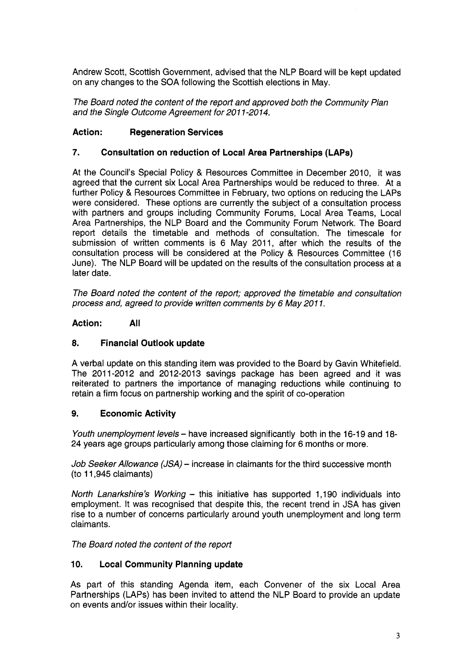Andrew Scott, Scottish Government, advised that the NLP Board will be kept updated on any changes to the SOA following the Scottish elections in May.

*The Board noted the content of the report and approved both the Community Plan and the Single Outcome Agreement for 20 1 1-20 14.* 

### **Action: Regeneration Services**

#### *7.* **Consultation on reduction of Local Area Partnerships (LAPs)**

At the Council's Special Policy & Resources Committee in December 2010, it was agreed that the current six Local Area Partnerships would be reduced to three. At a further Policy & Resources Committee in February, two options on reducing the LAPs were considered. These options are currently the subject of a consultation process with partners and groups including Community Forums, Local Area Teams, Local Area Partnerships, the NLP Board and the Community Forum Network. The Board report details the timetable and methods of consultation. The timescale for submission of written comments is 6 May 2011, after which the results of the consultation process will be considered at the Policy & Resources Committee (16 June). The NLP Board will be updated on the results of the consultation process at a later date.

*The Board noted the content of the report; approved the timetable and consultation process and, agreed to provide written comments by 6 May 201 1.* 

#### Action: **AII**

#### **8. Financial Outlook update**

A verbal update on this standing item was provided to the Board by Gavin Whitefield. The 2011-2012 and 2012-2013 savings package has been agreed and it was reiterated to partners the importance of managing reductions while continuing to retain a firm focus on partnership working and the spirit of co-operation

#### **9. Economic Activity**

*Youth unemployment levels* - have increased significantly both in the 16-19 and 18-24 years age groups particularly among those claiming for 6 months or more.

*Job Seeker Allowance (JSA)* - increase in claimants for the third successive month (to 11,945 claimants)

*North Lanarkshire's Working - this initiative has supported 1,190 individuals into* employment. It was recognised that despite this, the recent trend in JSA has given rise to a number of concerns particularly around youth unemployment and long term claimants.

*The Board noted the content of the report* 

#### **10. Local Community Planning update**

As part of this standing Agenda item, each Convener of the six Local Area Partnerships (LAPs) has been invited to attend the NLP Board to provide an update on events and/or issues within their locality.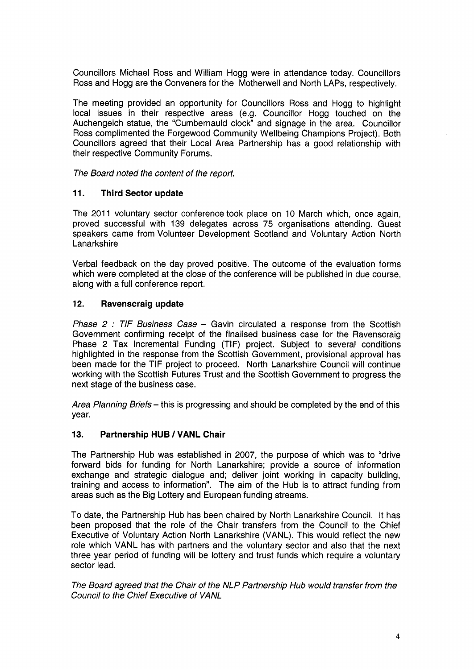Councillors Michael Ross and William Hogg were in attendance today. Councillors Ross and Hogg are the Conveners for the Motherwell and North LAPS, respectively.

The meeting provided an opportunity for Councillors Ross and Hogg to highlight local issues in their respective areas (e.g. Councillor Hogg touched on the Auchengeich statue, the "Cumbernauld clock" and signage in the area. Councillor Ross complimented the Forgewood Community Wellbeing Champions Project). Both Councillors agreed that their Local Area Partnership has a good relationship with their respective Community Forums.

*The Board noted the content of the report.* 

#### **11. Third Sector update**

The 2011 voluntary sector conference took place on 10 March which, once again, proved successful with 139 delegates across *75* organisations attending. Guest speakers came from Volunteer Development Scotland and Voluntary Action North Lanarkshire

Verbal feedback on the day proved positive. The outcome of the evaluation forms which were completed at the close of the conference will be published in due course, along with a full conference report.

#### **12. Ravenscraig update**

*Phase 2* : *TIF Business Case* - Gavin circulated a response from the Scottish Government confirming receipt of the finalised business case for the Ravenscraig Phase 2 Tax Incremental Funding (TIF) project. Subject to several conditions highlighted in the response from the Scottish Government, provisional approval has been made for the TIF project to proceed. North Lanarkshire Council will continue working with the Scottish Futures Trust and the Scottish Government to progress the next stage of the business case.

*Area Planning Briefs* - this is progressing and should be completed by the end of this year.

#### **13. Partnership HUB** / **VANL Chair**

The Partnership Hub was established in 2007, the purpose of which was to "drive forward bids for funding for North Lanarkshire; provide a source of information exchange and strategic dialogue and; deliver joint working in capacity building, training and access to information". The aim of the Hub is to attract funding from areas such as the Big Lottery and European funding streams.

To date, the Partnership Hub has been chaired by North Lanarkshire Council. It has been proposed that the role of the Chair transfers from the Council to the Chief Executive of Voluntary Action North Lanarkshire (VANL). This would reflect the new role which VANL has with partners and the voluntary sector and also that the next three year period of funding will be lottery and trust funds which require a voluntary sector lead.

*The Board agreed that the Chair of the NLP Partnership Hub would transfer from the Council to the Chief Executive of VANL*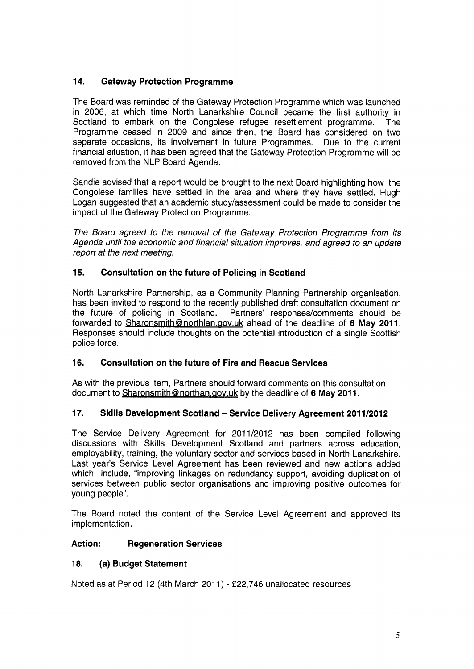# **14. Gateway Protection Programme**

The Board was reminded of the Gateway Protection Programme which was launched in 2006, at which time North Lanarkshire Council became the first authority in Scotland to embark on the Congolese refugee resettlement programme. The Programme ceased in 2009 and since then, the Board has considered on two separate occasions, its involvement in future Programmes. Due to the current financial situation, it has been agreed that the Gateway Protection Programme will be removed from the NLP Board Agenda.

Sandie advised that a report would be brought to the next Board highlighting how the Congolese families have settled in the area and where they have settled. Hugh Logan suggested that an academic study/assessment could be made to consider the impact of the Gateway Protection Programme.

*The Board agreed to the removal of the Gateway Protection Programme from its Agenda until the economic and financial situation improves, and agreed to an update report at the next meeting.* 

# **15. Consultation on the future of Policing in Scotland**

North Lanarkshire Partnership, as a Community Planning Partnership organisation, has been invited to respond to the recently published draft consultation document on the future of policing in Scotland. Partners' responses/comments should be Partners' responses/comments should be forwarded to Sharonsmith@northlan.gov.uk ahead of the deadline of 6 May 2011. Responses should include thoughts on the potential introduction of a single Scottish police force.

## **16. Consultation on the future of Fire and Rescue Services**

As with the previous item, Partners should forward comments on this consultation document to Sharonsmith@northan.gov.uk by the deadline of 6 May 2011.

## **17. Skills Development Scotland** - **Service Delivery Agreement 201 1/2012**

The Service Delivery Agreement for 2011/2012 has been compiled following discussions with Skills Development Scotland and partners across education, employability, training, the voluntary sector and services based in North Lanarkshire. Last year's Service Level Agreement has been reviewed and new actions added which include, "improving linkages on redundancy support, avoiding duplication of services between public sector organisations and improving positive outcomes for young people".

The Board noted the content of the Service Level Agreement and approved its implementation.

## **Action: Regeneration Services**

## **18. (a) Budget Statement**

Noted as at Period 12 (4th March 2011) - £22,746 unallocated resources